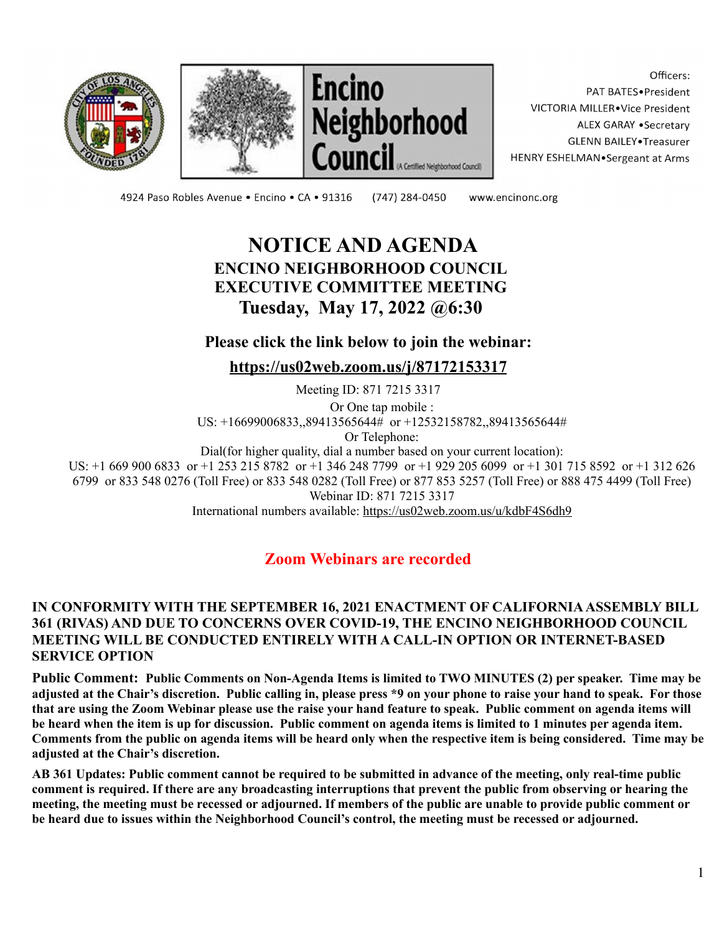





Officers: PAT BATES.President VICTORIA MILLER.Vice President ALEX GARAY . Secretary **GLENN BAILEY** Treasurer HENRY ESHELMAN.Sergeant at Arms

4924 Paso Robles Avenue · Encino · CA · 91316 (747) 284-0450

www.encinonc.org

# **NOTICE AND AGENDA ENCINO NEIGHBORHOOD COUNCIL EXECUTIVE COMMITTEE MEETING Tuesday, May 17, 2022 @6:30**

## **Please click the link below to join the webinar:**

**<https://us02web.zoom.us/j/87172153317>**

Meeting ID: 871 7215 3317 Or One tap mobile : US: +16699006833,,89413565644# or +12532158782,,89413565644# Or Telephone:

Dial(for higher quality, dial a number based on your current location):

US: +1 669 900 6833 or +1 253 215 8782 or +1 346 248 7799 or +1 929 205 6099 or +1 301 715 8592 or +1 312 626 6799 or 833 548 0276 (Toll Free) or 833 548 0282 (Toll Free) or 877 853 5257 (Toll Free) or 888 475 4499 (Toll Free) Webinar ID: 871 7215 3317 International numbers available: <https://us02web.zoom.us/u/kdbF4S6dh9>

**Zoom Webinars are recorded**

#### **IN CONFORMITY WITH THE SEPTEMBER 16, 2021 ENACTMENT OF CALIFORNIAASSEMBLY BILL 361 (RIVAS) AND DUE TO CONCERNS OVER COVID-19, THE ENCINO NEIGHBORHOOD COUNCIL MEETING WILL BE CONDUCTED ENTIRELY WITH A CALL-IN OPTION OR INTERNET-BASED SERVICE OPTION**

Public Comment: Public Comments on Non-Agenda Items is limited to TWO MINUTES (2) per speaker. Time may be adjusted at the Chair's discretion. Public calling in, please press \*9 on your phone to raise your hand to speak. For those that are using the Zoom Webinar please use the raise your hand feature to speak. Public comment on agenda items will be heard when the item is up for discussion. Public comment on agenda items is limited to 1 minutes per agenda item. Comments from the public on agenda items will be heard only when the respective item is being considered. Time may be **adjusted at the Chair's discretion.**

AB 361 Updates: Public comment cannot be required to be submitted in advance of the meeting, only real-time public comment is required. If there are any broadcasting interruptions that prevent the public from observing or hearing the meeting, the meeting must be recessed or adjourned. If members of the public are unable to provide public comment or be heard due to issues within the Neighborhood Council's control, the meeting must be recessed or adjourned.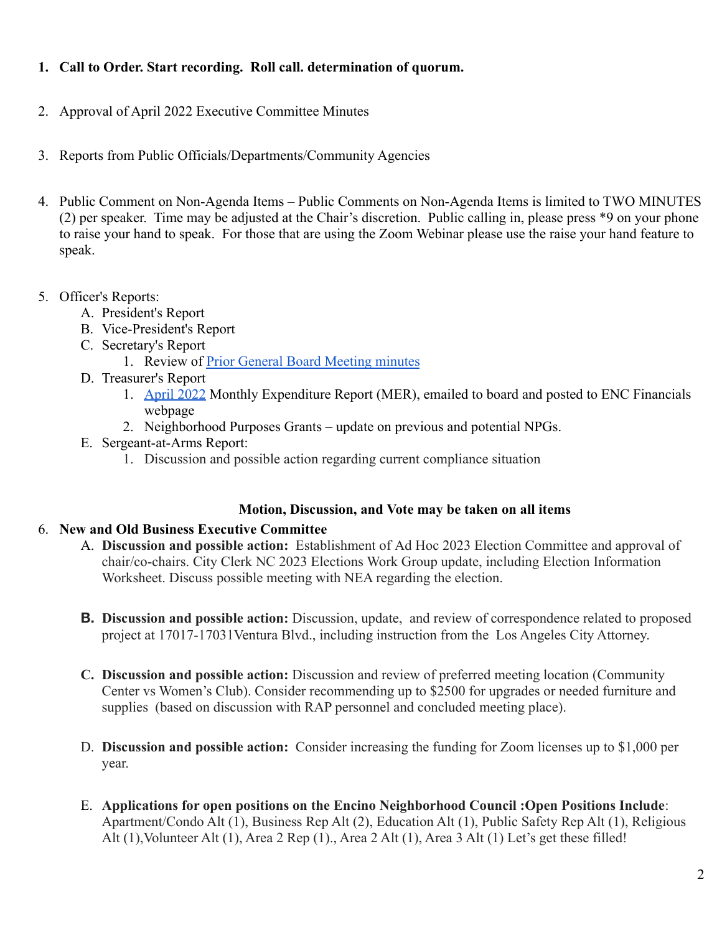### **1. Call to Order. Start recording. Roll call. determination of quorum.**

- 2. Approval of April 2022 Executive Committee Minutes
- 3. Reports from Public Officials/Departments/Community Agencies
- 4. Public Comment on Non-Agenda Items Public Comments on Non-Agenda Items is limited to TWO MINUTES (2) per speaker. Time may be adjusted at the Chair's discretion. Public calling in, please press \*9 on your phone to raise your hand to speak. For those that are using the Zoom Webinar please use the raise your hand feature to speak.
- 5. Officer's Reports:
	- A. President's Report
	- B. Vice-President's Report
	- C. Secretary's Report
		- 1. Review of [Prior General Board Meeting minutes](https://www.encinonc.org/committees/viewCommittee/board-agenda-minutes)
	- D. Treasurer's Report
		- 1. [April 2022](https://www.encinonc.org/page/viewDoc/380/financial) Monthly Expenditure Report (MER), emailed to board and posted to ENC Financials webpage
		- 2. Neighborhood Purposes Grants update on previous and potential NPGs.
	- E. Sergeant-at-Arms Report:
		- 1. Discussion and possible action regarding current compliance situation

#### **Motion, Discussion, and Vote may be taken on all items**

#### 6. **New and Old Business Executive Committee**

- A. **Discussion and possible action:** Establishment of Ad Hoc 2023 Election Committee and approval of chair/co-chairs. City Clerk NC 2023 Elections Work Group update, including Election Information Worksheet. Discuss possible meeting with NEA regarding the election.
- **B. Discussion and possible action:** Discussion, update, and review of correspondence related to proposed project at 17017-17031Ventura Blvd., including instruction from the Los Angeles City Attorney.
- **C. Discussion and possible action:** Discussion and review of preferred meeting location (Community Center vs Women's Club). Consider recommending up to \$2500 for upgrades or needed furniture and supplies (based on discussion with RAP personnel and concluded meeting place).
- D. **Discussion and possible action:** Consider increasing the funding for Zoom licenses up to \$1,000 per year.
- E. **Applications for open positions on the Encino Neighborhood Council :Open Positions Include**: Apartment/Condo Alt (1), Business Rep Alt (2), Education Alt (1), Public Safety Rep Alt (1), Religious Alt  $(1)$ , Volunteer Alt  $(1)$ , Area 2 Rep  $(1)$ , Area 2 Alt  $(1)$ , Area 3 Alt  $(1)$  Let's get these filled!